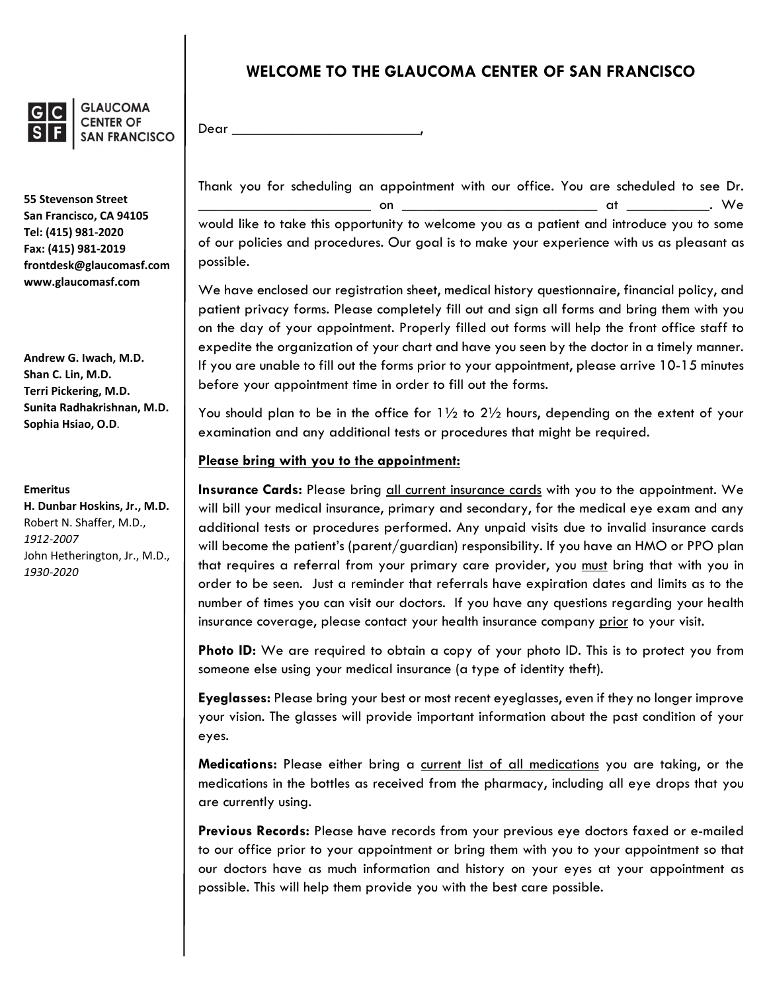

**GLAUCOMA CENTER OF SAN FRANCISCO** 

**55 Stevenson Street San Francisco, CA 94105 Tel: (415) 981‐2020 Fax: (415) 981‐2019 frontdesk@glaucomasf.com www.glaucomasf.com**

**Andrew G. Iwach, M.D. Shan C. Lin, M.D. Terri Pickering, M.D. Sunita Radhakrishnan, M.D. Sophia Hsiao, O.D**.

**Emeritus**

**H. Dunbar Hoskins, Jr., M.D.** Robert N. Shaffer, M.D., *1912‐2007* John Hetherington, Jr., M.D., *1930‐2020*

# **WELCOME TO THE GLAUCOMA CENTER OF SAN FRANCISCO**

Dear \_

Thank you for scheduling an appointment with our office. You are scheduled to see Dr. \_\_\_\_\_\_\_\_\_\_\_\_\_\_\_\_\_\_\_\_\_\_\_ on \_\_\_\_\_\_\_\_\_\_\_\_\_\_\_\_\_\_\_\_\_\_\_\_\_\_ at \_\_\_\_\_\_\_\_\_\_\_. We would like to take this opportunity to welcome you as a patient and introduce you to some of our policies and procedures. Our goal is to make your experience with us as pleasant as possible.

We have enclosed our registration sheet, medical history questionnaire, financial policy, and patient privacy forms. Please completely fill out and sign all forms and bring them with you on the day of your appointment. Properly filled out forms will help the front office staff to expedite the organization of your chart and have you seen by the doctor in a timely manner. If you are unable to fill out the forms prior to your appointment, please arrive 10-15 minutes before your appointment time in order to fill out the forms.

You should plan to be in the office for  $1\frac{1}{2}$  to  $2\frac{1}{2}$  hours, depending on the extent of your examination and any additional tests or procedures that might be required.

### **Please bring with you to the appointment:**

**Insurance Cards:** Please bring all current insurance cards with you to the appointment. We will bill your medical insurance, primary and secondary, for the medical eye exam and any additional tests or procedures performed. Any unpaid visits due to invalid insurance cards will become the patient's (parent/guardian) responsibility. If you have an HMO or PPO plan that requires a referral from your primary care provider, you must bring that with you in order to be seen. Just a reminder that referrals have expiration dates and limits as to the number of times you can visit our doctors. If you have any questions regarding your health insurance coverage, please contact your health insurance company prior to your visit.

**Photo ID:** We are required to obtain a copy of your photo ID. This is to protect you from someone else using your medical insurance (a type of identity theft).

**Eyeglasses:** Please bring your best or most recent eyeglasses, even if they no longer improve your vision. The glasses will provide important information about the past condition of your eyes.

**Medications:** Please either bring a current list of all medications you are taking, or the medications in the bottles as received from the pharmacy, including all eye drops that you are currently using.

**Previous Records:** Please have records from your previous eye doctors faxed or e-mailed to our office prior to your appointment or bring them with you to your appointment so that our doctors have as much information and history on your eyes at your appointment as possible. This will help them provide you with the best care possible.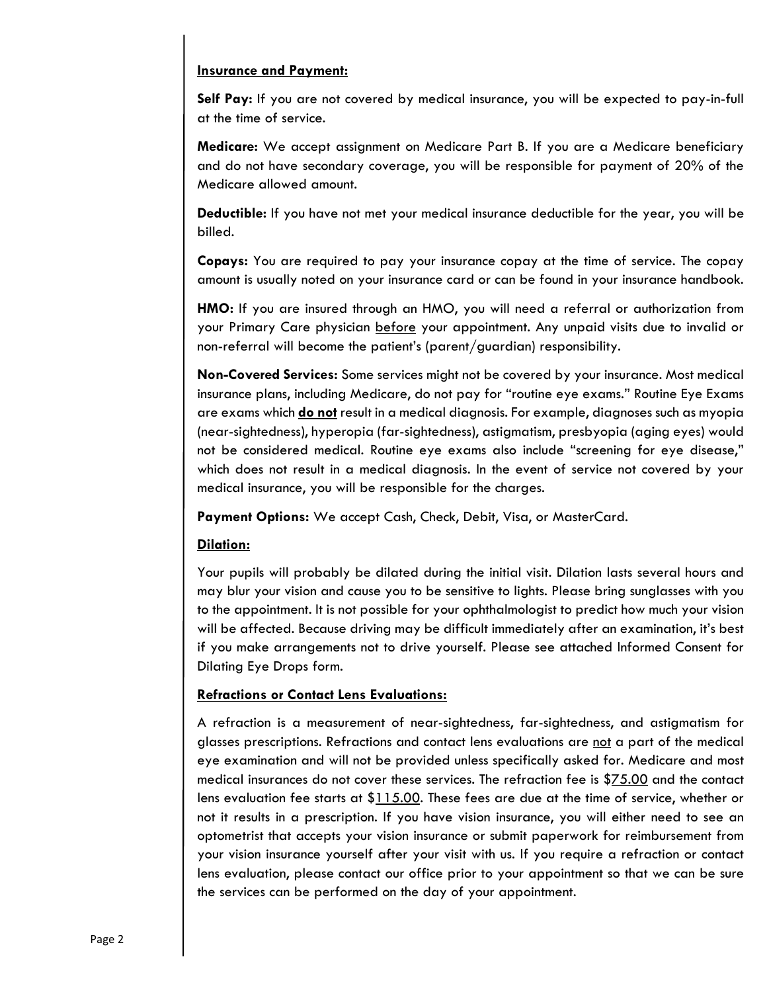#### **Insurance and Payment:**

**Self Pay:** If you are not covered by medical insurance, you will be expected to pay-in-full at the time of service.

**Medicare:** We accept assignment on Medicare Part B. If you are a Medicare beneficiary and do not have secondary coverage, you will be responsible for payment of 20% of the Medicare allowed amount.

**Deductible:** If you have not met your medical insurance deductible for the year, you will be billed.

**Copays:** You are required to pay your insurance copay at the time of service. The copay amount is usually noted on your insurance card or can be found in your insurance handbook.

**HMO:** If you are insured through an HMO, you will need a referral or authorization from your Primary Care physician before your appointment. Any unpaid visits due to invalid or non-referral will become the patient's (parent/guardian) responsibility.

**Non-Covered Services:** Some services might not be covered by your insurance. Most medical insurance plans, including Medicare, do not pay for "routine eye exams." Routine Eye Exams are exams which **do not** result in a medical diagnosis. For example, diagnoses such as myopia (near-sightedness), hyperopia (far-sightedness), astigmatism, presbyopia (aging eyes) would not be considered medical. Routine eye exams also include "screening for eye disease," which does not result in a medical diagnosis. In the event of service not covered by your medical insurance, you will be responsible for the charges.

**Payment Options:** We accept Cash, Check, Debit, Visa, or MasterCard.

### **Dilation:**

Your pupils will probably be dilated during the initial visit. Dilation lasts several hours and may blur your vision and cause you to be sensitive to lights. Please bring sunglasses with you to the appointment. It is not possible for your ophthalmologist to predict how much your vision will be affected. Because driving may be difficult immediately after an examination, it's best if you make arrangements not to drive yourself. Please see attached Informed Consent for Dilating Eye Drops form.

## **Refractions or Contact Lens Evaluations:**

A refraction is a measurement of near-sightedness, far-sightedness, and astigmatism for glasses prescriptions. Refractions and contact lens evaluations are not a part of the medical eye examination and will not be provided unless specifically asked for. Medicare and most medical insurances do not cover these services. The refraction fee is \$75.00 and the contact lens evaluation fee starts at \$115.00. These fees are due at the time of service, whether or not it results in a prescription. If you have vision insurance, you will either need to see an optometrist that accepts your vision insurance or submit paperwork for reimbursement from your vision insurance yourself after your visit with us. If you require a refraction or contact lens evaluation, please contact our office prior to your appointment so that we can be sure the services can be performed on the day of your appointment.